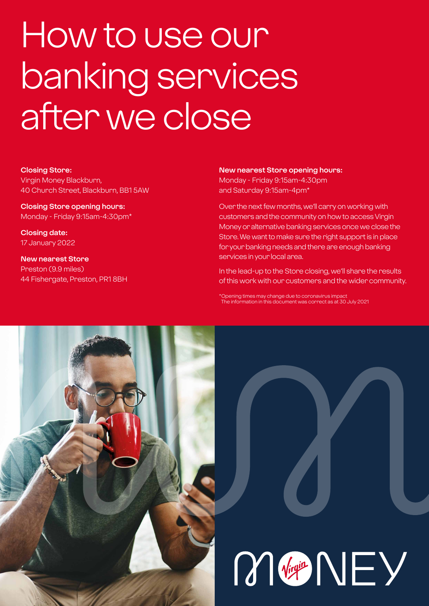# How to use our banking services after we close

#### **Closing Store:**

Virgin Money Blackburn, 40 Church Street, Blackburn, BB1 5AW

**Closing Store opening hours:**  Monday - Friday 9:15am-4:30pm\*

**Closing date:**  17 January 2022

**New nearest Store** Preston (9.9 miles) 44 Fishergate, Preston, PR1 8BH

#### **New nearest Store opening hours:**

Monday - Friday 9:15am-4:30pm and Saturday 9:15am-4pm\*

Over the next few months, we'll carry on working with customers and the community on how to access Virgin Money or alternative banking services once we close the Store. We want to make sure the right support is in place for your banking needs and there are enough banking services in your local area.

In the lead-up to the Store closing, we'll share the results of this work with our customers and the wider community.

\*Opening times may change due to coronavirus impact The information in this document was correct as at 30 July 2021

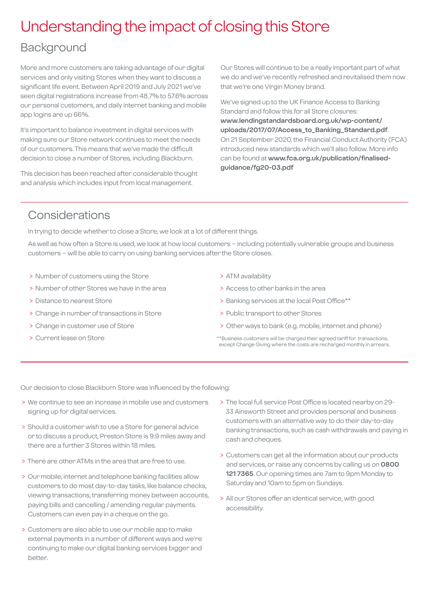## Understanding the impact of closing this Store

## **Background**

More and more customers are taking advantage of our digital services and only visiting Stores when they want to discuss a significant life event. Between April 2019 and July 2021 we've seen digital registrations increase from 48.7% to 57.6% across our personal customers, and daily internet banking and mobile app logins are up 66%.

It's important to balance investment in digital services with making sure our Store network continues to meet the needs of our customers. This means that we've made the difficult decision to close a number of Stores, including Blackburn.

This decision has been reached after considerable thought and analysis which includes input from local management.

Our Stores will continue to be a really important part of what we do and we've recently refreshed and revitalised them now that we're one Virgin Money brand.

We've signed up to the UK Finance Access to Banking Standard and follow this for all Store closures: **[www.lendingstandardsboard.org.uk/wp-content/](http://www.lendingstandardsboard.org.uk/wp-content/uploads/2017/07/Access_to_Banking_Standard.pdf) [uploads/2017/07/Access\\_to\\_Banking\\_Standard.pdf](http://www.lendingstandardsboard.org.uk/wp-content/uploads/2017/07/Access_to_Banking_Standard.pdf)**. On 21 September 2020, the Financial Conduct Authority (FCA) introduced new standards which we'll also follow. More info can be found at **[www.fca.org.uk/publication/finalised](http://www.fca.org.uk/publication/finalised-guidance/fg20-03.pdf)[guidance/fg20-03.pdf](http://www.fca.org.uk/publication/finalised-guidance/fg20-03.pdf)**

## Considerations

In trying to decide whether to close a Store, we look at a lot of different things.

As well as how often a Store is used, we look at how local customers – including potentially vulnerable groups and business customers – will be able to carry on using banking services after the Store closes.

- > Number of customers using the Store
- > Number of other Stores we have in the area
- > Distance to nearest Store
- > Change in number of transactions in Store
- > Change in customer use of Store
- > Current lease on Store
- > ATM availability
- > Access to other banks in the area
- > Banking services at the local Post Office\*\*
- > Public transport to other Stores
- > Other ways to bank (e.g. mobile, internet and phone)
- \*\*Business customers will be charged their agreed tariff for transactions, except Change Giving where the costs are recharged monthly in arrears.

Our decision to close Blackburn Store was influenced by the following:

- > We continue to see an increase in mobile use and customers signing up for digital services.
- > Should a customer wish to use a Store for general advice or to discuss a product, Preston Store is 9.9 miles away and there are a further 3 Stores within 18 miles.
- > There are other ATMs in the area that are free to use.
- > Our mobile, internet and telephone banking facilities allow customers to do most day-to-day tasks, like balance checks, viewing transactions, transferring money between accounts, paying bills and cancelling / amending regular payments. Customers can even pay in a cheque on the go.
- > Customers are also able to use our mobile app to make external payments in a number of different ways and we're continuing to make our digital banking services bigger and better.
- > The local full service Post Office is located nearby on 29- 33 Ainsworth Street and provides personal and business customers with an alternative way to do their day-to-day banking transactions, such as cash withdrawals and paying in cash and cheques.
- > Customers can get all the information about our products and services, or raise any concerns by calling us on **0800 121 7365**. Our opening times are 7am to 9pm Monday to Saturday and 10am to 5pm on Sundays.
- > All our Stores offer an identical service, with good accessibility.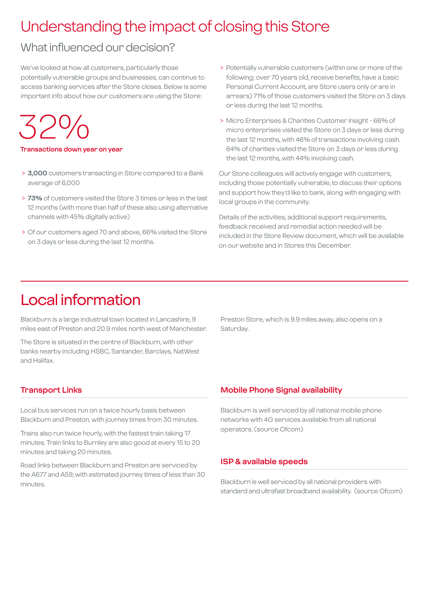## Understanding the impact of closing this Store

## What influenced our decision?

We've looked at how all customers, particularly those potentially vulnerable groups and businesses, can continue to access banking services after the Store closes. Below is some important info about how our customers are using the Store:

 $324$ 

**Transactions down year on year**

- > **3,000** customers transacting in Store compared to a Bank average of 6,000
- > **73%** of customers visited the Store 3 times or less in the last 12 months (with more than half of these also using alternative channels with 45% digitally active)
- > Of our customers aged 70 and above, 66% visited the Store on 3 days or less during the last 12 months.
- > Potentially vulnerable customers (within one or more of the following; over 70 years old, receive benefits, have a basic Personal Current Account, are Store users only or are in arrears) 71% of those customers visited the Store on 3 days or less during the last 12 months.
- > Micro Enterprises & Charities Customer Insight 66% of micro enterprises visited the Store on 3 days or less during the last 12 months, with 46% of transactions involving cash. 64% of charities visited the Store on 3 days or less during the last 12 months, with 44% involving cash.

Our Store colleagues will actively engage with customers, including those potentially vulnerable, to discuss their options and support how they'd like to bank, along with engaging with local groups in the community.

Details of the activities, additional support requirements, feedback received and remedial action needed will be included in the Store Review document, which will be available on our website and in Stores this December.

## Local information

Blackburn is a large industrial town located in Lancashire, 9 miles east of Preston and 20.9 miles north west of Manchester.

The Store is situated in the centre of Blackburn, with other banks nearby including HSBC, Santander, Barclays, NatWest and Halifax.

Preston Store, which is 9.9 miles away, also opens on a Saturday.

#### **Transport Links**

Local bus services run on a twice hourly basis between Blackburn and Preston, with journey times from 30 minutes.

Trains also run twice hourly, with the fastest train taking 17 minutes. Train links to Burnley are also good at every 15 to 20 minutes and taking 20 minutes.

Road links between Blackburn and Preston are serviced by the A677 and A59, with estimated journey times of less than 30 minutes.

#### **Mobile Phone Signal availability**

Blackburn is well serviced by all national mobile phone networks with 4G services available from all national operators. (source Ofcom)

#### **ISP & available speeds**

Blackburn is well serviced by all national providers with standard and ultrafast broadband availability. (source Ofcom)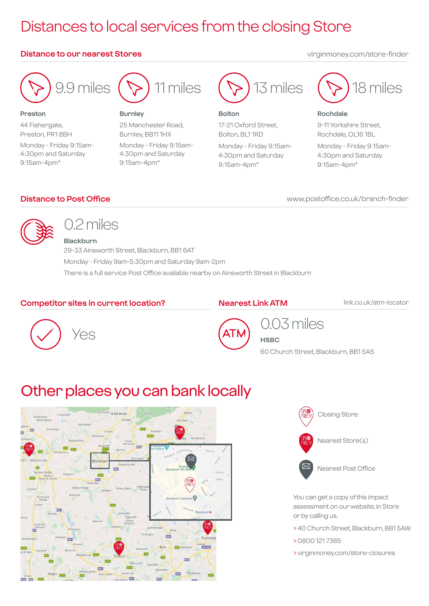## Distances to local services from the closing Store

#### **Distance to our nearest Stores** virginmoney.com/store-finder



9.9 miles

#### **Preston**

44 Fishergate, Preston, PR1 8BH Monday - Friday 9:15am-4:30pm and Saturday 9:15am-4pm\*



#### **Burnley**

25 Manchester Road, Burnley, BB11 1HX Monday - Friday 9:15am-4:30pm and Saturday 9:15am-4pm\*



#### **Bolton**

17-21 Oxford Street, Bolton, BL1 1RD Monday - Friday 9:15am-4:30pm and Saturday 9:15am-4pm\*



#### **Rochdale**

9-11 Yorkshire Street, Rochdale, OL16 1BL Monday - Friday 9:15am-4:30pm and Saturday 9:15am-4pm\*

#### **Distance to Post Office**

www.postoffice.co.uk/branch-finder



## 0.2 miles **Blackburn**

29-33 Ainsworth Street, Blackburn, BB1 6AT Monday - Friday 9am-5:30pm and Saturday 9am-2pm There is a full service Post Office available nearby on Ainsworth Street in Blackburn

#### **Competitor sites in current location?**

#### **Nearest Link ATM**

**HSBC**

link.co.uk/atm-locator





## 0.03 miles

60 Church Street, Blackburn, BB1 5AS

# Other places you can bank locally





You can get a copy of this impact assessment on our website, in Store or by calling us.

- > 40 Church Street, Blackburn, BB1 5AW
- > 0800 121 7365
- > virginmoney.com/store-closures